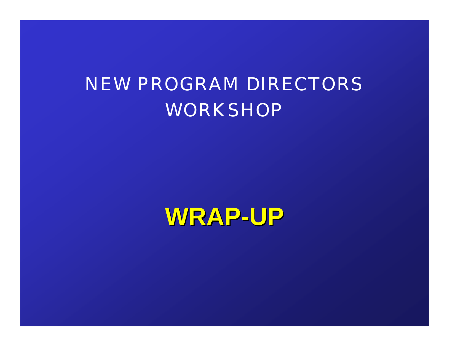#### NEW PROGRAM DIRECTORS WORKSHOP

**WRAP-UP**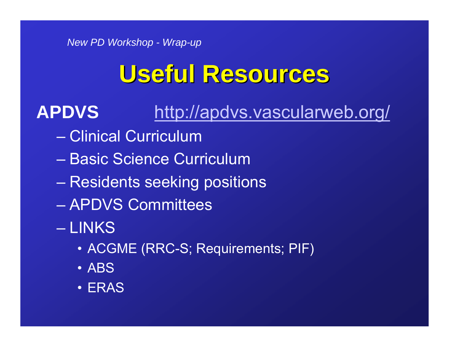# **Useful Resources Useful Resources**

#### **APDVS**http://apdvs.vascularweb.org/

- Clinical Curriculum
- Basic Science Curriculum
- Residents seeking positions
- APDVS Committees
- LINKS
	- ACGME (RRC-S; Requirements; PIF)
	- ABS
	- ERAS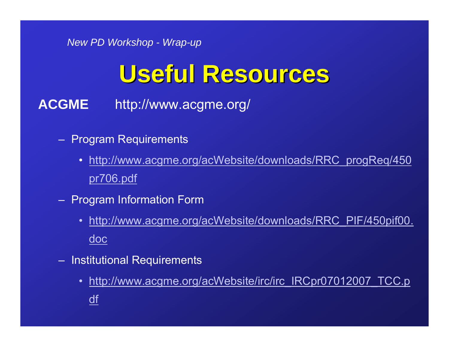# **Useful Resources Useful Resources**

**ACGME** http://www.acgme.org/

- Program Requirements
	- http://www.acgme.org/acWebsite/downloads/RRC\_progReq/450 pr706.pdf
- Program Information Form
	- http://www.acgme.org/acWebsite/downloads/RRC\_PIF/450pif00. doc
- Institutional Requirements
	- http://www.acgme.org/acWebsite/irc/irc\_IRCpr07012007\_TCC.p df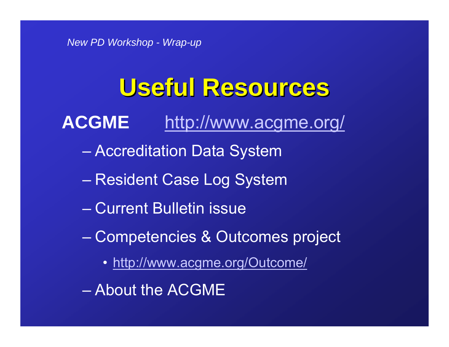## **Useful Resources Useful Resources**

#### **ACGME** http://www.acgme.org/

- Accreditation Data System
- Resident Case Log System
- Current Bulletin issue
- Competencies & Outcomes project
	- http://www.acgme.org/Outcome/
- About the ACGME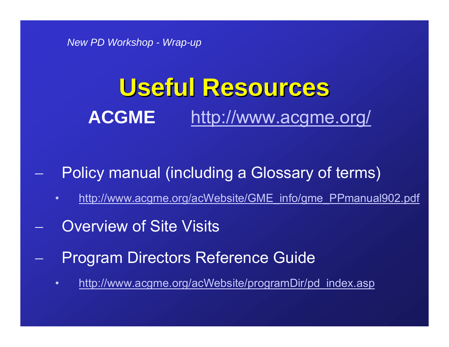## **Useful Resources Useful Resources ACGME** http://www.acgme.org/

- −−−−−−−− Policy manual (including a Glossary of terms)
	- •http://www.acgme.org/acWebsite/GME\_info/gme\_PPmanual902.pdf
- −−−−−−− **Overview of Site Visits**
- −−−−−−− Program Directors Reference Guide
	- •http://www.acgme.org/acWebsite/programDir/pd\_index.asp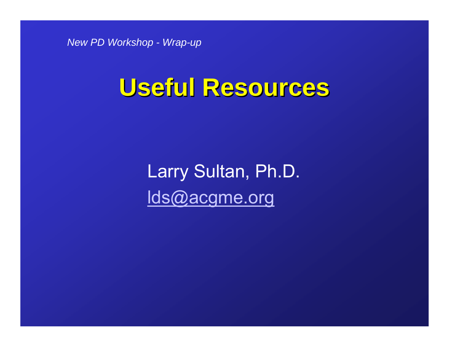### **Useful Resources Useful Resources**

Larry Sultan, Ph.D. lds@acgme.org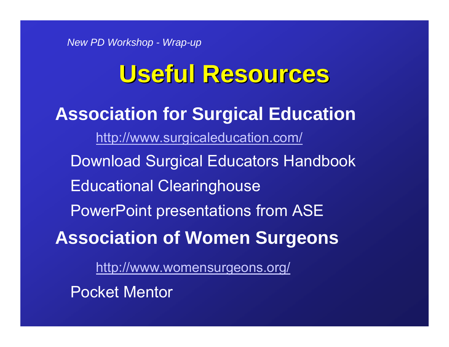### **Useful Resources Useful Resources**

#### **Association for Surgical Education** http://www.surgicaleducation.com/ Download Surgical Educators Handbook Educational Clearinghouse PowerPoint presentations from ASE **Association of Women Surgeons** http://www.womensurgeons.org/

Pocket Mentor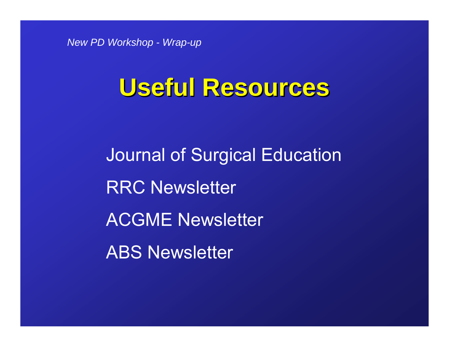#### **Useful Resources Useful Resources**

Journal of Surgical Education RRC Newsletter ACGME Newsletter ABS Newsletter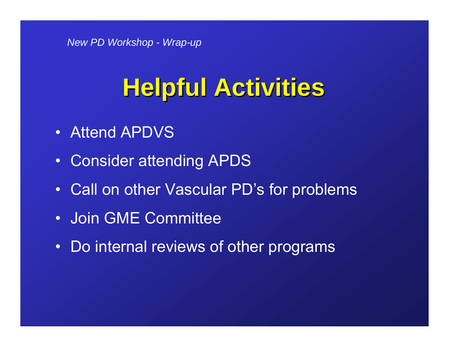- Attend APDVS
- Consider attending APDS
- Call on other Vascular PD's for problems
- Join GME Committee
- Do internal reviews of other programs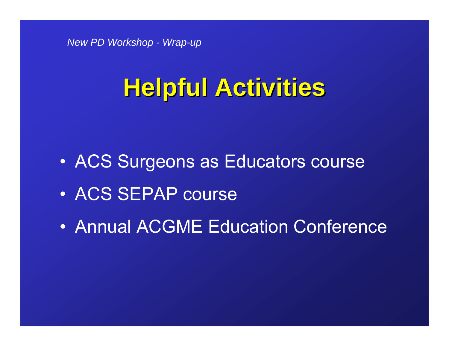- $\bullet$ ACS Surgeons as Educators course
- ACS SEPAP course
- Annual ACGME Education Conference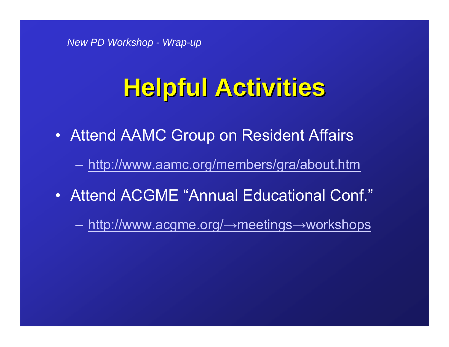- Attend AAMC Group on Resident Affairs
	- http://www.aamc.org/members/gra/about.htm
- Attend ACGME "Annual Educational Conf."
	- $\mathcal{L}_{\mathcal{A}}$ http://www.acgme.org/→meetings→workshops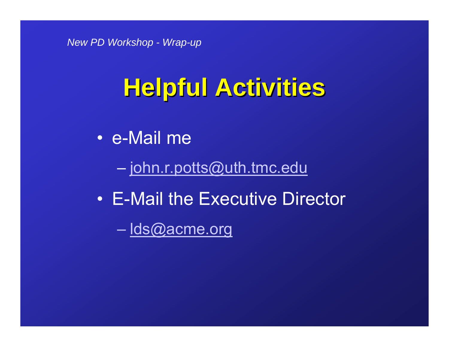- e-Mail me
	- <u>john.r.potts@uth.tmc.edu</u>
- E-Mail the Executive Director
	- <u>lds@acme.org</u>